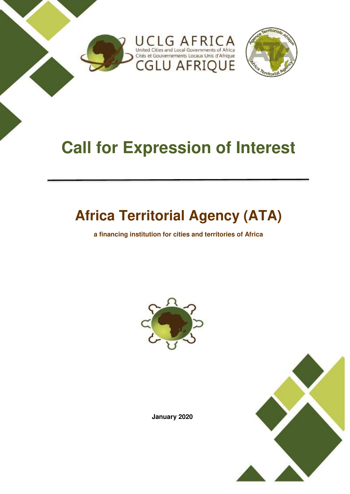

# **Call for Expression of Interest**

## **Africa Territorial Agency (ATA)**

**a financing institution for cities and territories of Africa** 





**January 2020**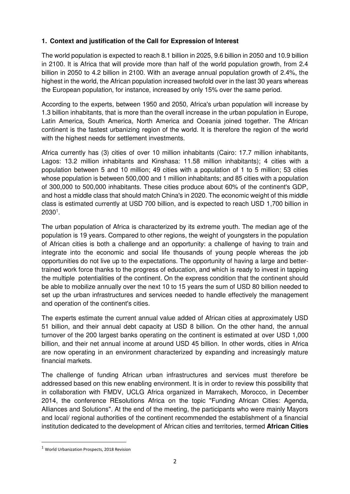### **1. Context and justification of the Call for Expression of Interest**

The world population is expected to reach 8.1 billion in 2025, 9.6 billion in 2050 and 10.9 billion in 2100. It is Africa that will provide more than half of the world population growth, from 2.4 billion in 2050 to 4.2 billion in 2100. With an average annual population growth of 2.4%, the highest in the world, the African population increased twofold over in the last 30 years whereas the European population, for instance, increased by only 15% over the same period.

According to the experts, between 1950 and 2050, Africa's urban population will increase by 1.3 billion inhabitants, that is more than the overall increase in the urban population in Europe, Latin America, South America, North America and Oceania joined together. The African continent is the fastest urbanizing region of the world. It is therefore the region of the world with the highest needs for settlement investments.

Africa currently has (3) cities of over 10 million inhabitants (Cairo: 17.7 million inhabitants, Lagos: 13.2 million inhabitants and Kinshasa: 11.58 million inhabitants); 4 cities with a population between 5 and 10 million; 49 cities with a population of 1 to 5 million; 53 cities whose population is between 500,000 and 1 million inhabitants; and 85 cities with a population of 300,000 to 500,000 inhabitants. These cities produce about 60% of the continent's GDP, and host a middle class that should match China's in 2020. The economic weight of this middle class is estimated currently at USD 700 billion, and is expected to reach USD 1,700 billion in 2030<sup>1</sup> .

The urban population of Africa is characterized by its extreme youth. The median age of the population is 19 years. Compared to other regions, the weight of youngsters in the population of African cities is both a challenge and an opportunity: a challenge of having to train and integrate into the economic and social life thousands of young people whereas the job opportunities do not live up to the expectations. The opportunity of having a large and bettertrained work force thanks to the progress of education, and which is ready to invest in tapping the multiple potentialities of the continent. On the express condition that the continent should be able to mobilize annually over the next 10 to 15 years the sum of USD 80 billion needed to set up the urban infrastructures and services needed to handle effectively the management and operation of the continent's cities.

The experts estimate the current annual value added of African cities at approximately USD 51 billion, and their annual debt capacity at USD 8 billion. On the other hand, the annual turnover of the 200 largest banks operating on the continent is estimated at over USD 1,000 billion, and their net annual income at around USD 45 billion. In other words, cities in Africa are now operating in an environment characterized by expanding and increasingly mature financial markets.

The challenge of funding African urban infrastructures and services must therefore be addressed based on this new enabling environment. It is in order to review this possibility that in collaboration with FMDV, UCLG Africa organized in Marrakech, Morocco, in December 2014, the conference REsolutions Africa on the topic "Funding African Cities: Agenda, Alliances and Solutions". At the end of the meeting, the participants who were mainly Mayors and local/ regional authorities of the continent recommended the establishment of a financial institution dedicated to the development of African cities and territories, termed **African Cities** 

<u>.</u>

<sup>1</sup> World Urbanization Prospects, 2018 Revision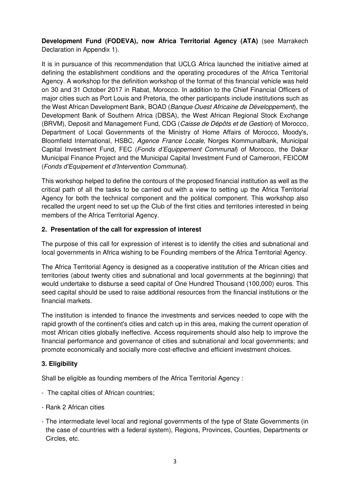**Development Fund (FODEVA), now Africa Territorial Agency (ATA)** (see Marrakech Declaration in Appendix 1).

It is in pursuance of this recommendation that UCLG Africa launched the initiative aimed at defining the establishment conditions and the operating procedures of the Africa Territorial Agency. A workshop for the definition workshop of the format of this financial vehicle was held on 30 and 31 October 2017 in Rabat, Morocco. In addition to the Chief Financial Officers of major cities such as Port Louis and Pretoria, the other participants include institutions such as the West African Development Bank, BOAD (Banque Ouest Africaine de Développement), the Development Bank of Southern Africa (DBSA), the West African Regional Stock Exchange (BRVM), Deposit and Management Fund, CDG (Caisse de Dépôts et de Gestion) of Morocco, Department of Local Governments of the Ministry of Home Affairs of Morocco, Moody's, Bloomfield International, HSBC, Agence France Locale, Norges Kommunalbank, Municipal Capital Investment Fund, FEC (*Fonds d'*Equippement Communal) of Morocco, the Dakar Municipal Finance Project and the Municipal Capital Investment Fund of Cameroon, FEICOM (*Fonds d'Equipement et d'Intervention Communal*).

This workshop helped to define the contours of the proposed financial institution as well as the critical path of all the tasks to be carried out with a view to setting up the Africa Territorial Agency for both the technical component and the political component. This workshop also recalled the urgent need to set up the Club of the first cities and territories interested in being members of the Africa Territorial Agency.

#### **2. Presentation of the call for expression of interest**

The purpose of this call for expression of interest is to identify the cities and subnational and local governments in Africa wishing to be Founding members of the Africa Territorial Agency.

The Africa Territorial Agency is designed as a cooperative institution of the African cities and territories (about twenty cities and subnational and local governments at the beginning) that would undertake to disburse a seed capital of One Hundred Thousand (100,000) euros. This seed capital should be used to raise additional resources from the financial institutions or the financial markets.

The institution is intended to finance the investments and services needed to cope with the rapid growth of the continent's cities and catch up in this area, making the current operation of most African cities globally ineffective. Access requirements should also help to improve the financial performance and governance of cities and subnational and local governments; and promote economically and socially more cost-effective and efficient investment choices.

#### **3. Eligibility**

Shall be eligible as founding members of the Africa Territorial Agency :

- The capital cities of African countries;
- Rank 2 African cities
- The intermediate level local and regional governments of the type of State Governments (in the case of countries with a federal system), Regions, Provinces, Counties, Departments or Circles, etc.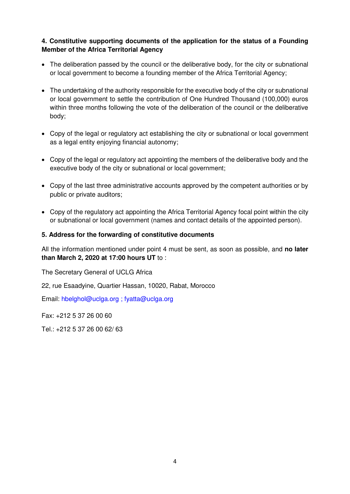#### **4. Constitutive supporting documents of the application for the status of a Founding Member of the Africa Territorial Agency**

- The deliberation passed by the council or the deliberative body, for the city or subnational or local government to become a founding member of the Africa Territorial Agency;
- The undertaking of the authority responsible for the executive body of the city or subnational or local government to settle the contribution of One Hundred Thousand (100,000) euros within three months following the vote of the deliberation of the council or the deliberative body;
- Copy of the legal or regulatory act establishing the city or subnational or local government as a legal entity enjoying financial autonomy;
- Copy of the legal or regulatory act appointing the members of the deliberative body and the executive body of the city or subnational or local government;
- Copy of the last three administrative accounts approved by the competent authorities or by public or private auditors;
- Copy of the regulatory act appointing the Africa Territorial Agency focal point within the city or subnational or local government (names and contact details of the appointed person).

#### **5. Address for the forwarding of constitutive documents**

All the information mentioned under point 4 must be sent, as soon as possible, and **no later than March 2, 2020 at 17:00 hours UT** to :

The Secretary General of UCLG Africa

22, rue Esaadyine, Quartier Hassan, 10020, Rabat, Morocco

Email: hbelghol@uclga.org ; [fyatta@uclga.org](mailto:fyatta@uclga.org) 

Fax: +212 5 37 26 00 60

Tel.: +212 5 37 26 00 62/ 63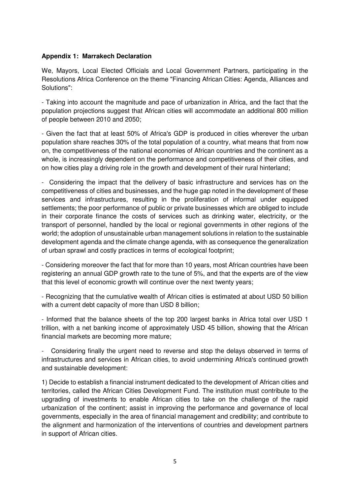#### **Appendix 1: Marrakech Declaration**

We, Mayors, Local Elected Officials and Local Government Partners, participating in the Resolutions Africa Conference on the theme "Financing African Cities: Agenda, Alliances and Solutions":

- Taking into account the magnitude and pace of urbanization in Africa, and the fact that the population projections suggest that African cities will accommodate an additional 800 million of people between 2010 and 2050;

- Given the fact that at least 50% of Africa's GDP is produced in cities wherever the urban population share reaches 30% of the total population of a country, what means that from now on, the competitiveness of the national economies of African countries and the continent as a whole, is increasingly dependent on the performance and competitiveness of their cities, and on how cities play a driving role in the growth and development of their rural hinterland;

- Considering the impact that the delivery of basic infrastructure and services has on the competitiveness of cities and businesses, and the huge gap noted in the development of these services and infrastructures, resulting in the proliferation of informal under equipped settlements; the poor performance of public or private businesses which are obliged to include in their corporate finance the costs of services such as drinking water, electricity, or the transport of personnel, handled by the local or regional governments in other regions of the world; the adoption of unsustainable urban management solutions in relation to the sustainable development agenda and the climate change agenda, with as consequence the generalization of urban sprawl and costly practices in terms of ecological footprint;

- Considering moreover the fact that for more than 10 years, most African countries have been registering an annual GDP growth rate to the tune of 5%, and that the experts are of the view that this level of economic growth will continue over the next twenty years;

- Recognizing that the cumulative wealth of African cities is estimated at about USD 50 billion with a current debt capacity of more than USD 8 billion;

- Informed that the balance sheets of the top 200 largest banks in Africa total over USD 1 trillion, with a net banking income of approximately USD 45 billion, showing that the African financial markets are becoming more mature;

Considering finally the urgent need to reverse and stop the delays observed in terms of infrastructures and services in African cities, to avoid undermining Africa's continued growth and sustainable development:

1) Decide to establish a financial instrument dedicated to the development of African cities and territories, called the African Cities Development Fund. The institution must contribute to the upgrading of investments to enable African cities to take on the challenge of the rapid urbanization of the continent; assist in improving the performance and governance of local governments, especially in the area of financial management and credibility; and contribute to the alignment and harmonization of the interventions of countries and development partners in support of African cities.